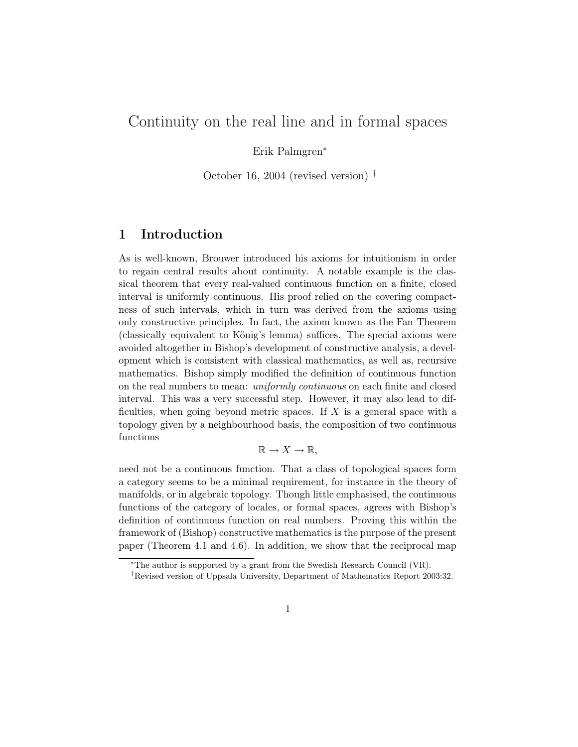# Continuity on the real line and in formal spaces

Erik Palmgren<sup>∗</sup>

October 16, 2004 (revised version) †

## 1 Introduction

As is well-known, Brouwer introduced his axioms for intuitionism in order to regain central results about continuity. A notable example is the classical theorem that every real-valued continuous function on a finite, closed interval is uniformly continuous. His proof relied on the covering compactness of such intervals, which in turn was derived from the axioms using only constructive principles. In fact, the axiom known as the Fan Theorem (classically equivalent to König's lemma) suffices. The special axioms were avoided altogether in Bishop's development of constructive analysis, a development which is consistent with classical mathematics, as well as, recursive mathematics. Bishop simply modified the definition of continuous function on the real numbers to mean: uniformly continuous on each finite and closed interval. This was a very successful step. However, it may also lead to difficulties, when going beyond metric spaces. If  $X$  is a general space with a topology given by a neighbourhood basis, the composition of two continuous functions

$$
\mathbb{R} \to X \to \mathbb{R},
$$

need not be a continuous function. That a class of topological spaces form a category seems to be a minimal requirement, for instance in the theory of manifolds, or in algebraic topology. Though little emphasised, the continuous functions of the category of locales, or formal spaces, agrees with Bishop's definition of continuous function on real numbers. Proving this within the framework of (Bishop) constructive mathematics is the purpose of the present paper (Theorem 4.1 and 4.6). In addition, we show that the reciprocal map

<sup>∗</sup>The author is supported by a grant from the Swedish Research Council (VR).

<sup>†</sup>Revised version of Uppsala University, Department of Mathematics Report 2003:32.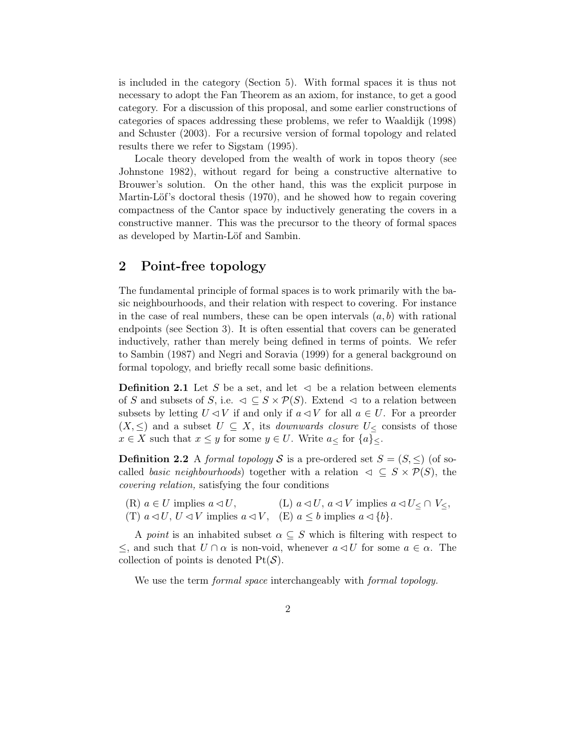is included in the category (Section 5). With formal spaces it is thus not necessary to adopt the Fan Theorem as an axiom, for instance, to get a good category. For a discussion of this proposal, and some earlier constructions of categories of spaces addressing these problems, we refer to Waaldijk (1998) and Schuster (2003). For a recursive version of formal topology and related results there we refer to Sigstam (1995).

Locale theory developed from the wealth of work in topos theory (see Johnstone 1982), without regard for being a constructive alternative to Brouwer's solution. On the other hand, this was the explicit purpose in Martin-Löf's doctoral thesis (1970), and he showed how to regain covering compactness of the Cantor space by inductively generating the covers in a constructive manner. This was the precursor to the theory of formal spaces as developed by Martin-Löf and Sambin.

### 2 Point-free topology

The fundamental principle of formal spaces is to work primarily with the basic neighbourhoods, and their relation with respect to covering. For instance in the case of real numbers, these can be open intervals  $(a, b)$  with rational endpoints (see Section 3). It is often essential that covers can be generated inductively, rather than merely being defined in terms of points. We refer to Sambin (1987) and Negri and Soravia (1999) for a general background on formal topology, and briefly recall some basic definitions.

**Definition 2.1** Let S be a set, and let  $\leq$  be a relation between elements of S and subsets of S, i.e.  $\triangleleft \subseteq S \times \mathcal{P}(S)$ . Extend  $\triangleleft$  to a relation between subsets by letting  $U \triangleleft V$  if and only if  $a \triangleleft V$  for all  $a \in U$ . For a preorder  $(X, \leq)$  and a subset  $U \subseteq X$ , its *downwards closure*  $U<sub>≤</sub>$  consists of those  $x \in X$  such that  $x \leq y$  for some  $y \in U$ . Write  $a \leq x \text{ for } \{a\} \leq y$ .

**Definition 2.2** A formal topology S is a pre-ordered set  $S = (S, \leq)$  (of socalled basic neighbourhoods) together with a relation  $\varphi \subseteq S \times \mathcal{P}(S)$ , the covering relation, satisfying the four conditions

(R)  $a \in U$  implies  $a \triangleleft U$ ,  $(L)$   $a \triangleleft U$ ,  $a \triangleleft V$  implies  $a \triangleleft U \leq \cap V \leq$ , (T)  $a \triangleleft U$ ,  $U \triangleleft V$  implies  $a \triangleleft V$ , (E)  $a \leq b$  implies  $a \triangleleft \{b\}$ .

A point is an inhabited subset  $\alpha \subseteq S$  which is filtering with respect to  $≤$ , and such that  $U ∩ α$  is non-void, whenever  $a ⊂ U$  for some  $a ∈ α$ . The collection of points is denoted  $Pt(S)$ .

We use the term *formal space* interchangeably with *formal topology*.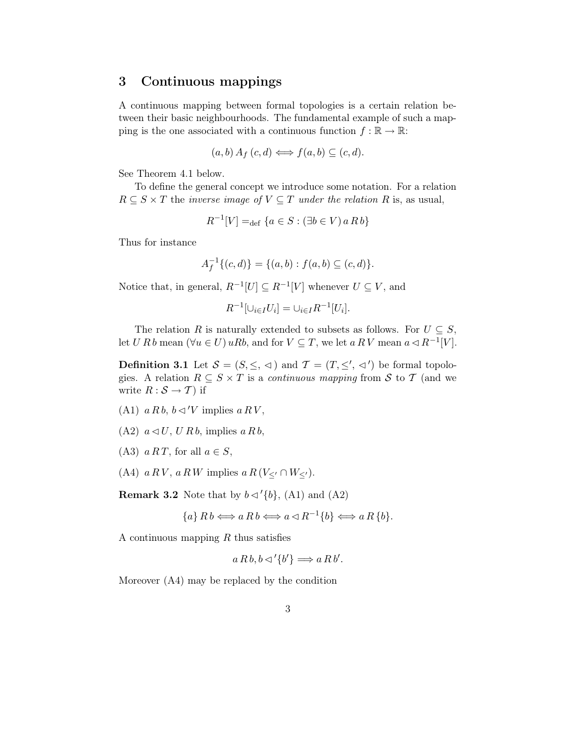## 3 Continuous mappings

A continuous mapping between formal topologies is a certain relation between their basic neighbourhoods. The fundamental example of such a mapping is the one associated with a continuous function  $f : \mathbb{R} \to \mathbb{R}$ :

$$
(a,b) A_f(c,d) \iff f(a,b) \subseteq (c,d).
$$

See Theorem 4.1 below.

To define the general concept we introduce some notation. For a relation  $R \subseteq S \times T$  the *inverse image of*  $V \subseteq T$  *under the relation* R is, as usual,

$$
R^{-1}[V] =_{\text{def}} \{a \in S : (\exists b \in V) \, a \, R \, b\}
$$

Thus for instance

$$
A_f^{-1}\{(c,d)\} = \{(a,b) : f(a,b) \subseteq (c,d)\}.
$$

Notice that, in general,  $R^{-1}[U] \subseteq R^{-1}[V]$  whenever  $U \subseteq V$ , and

$$
R^{-1}[\cup_{i \in I} U_i] = \cup_{i \in I} R^{-1}[U_i].
$$

The relation R is naturally extended to subsets as follows. For  $U \subseteq S$ , let U R b mean  $(\forall u \in U) uRb$ , and for  $V \subseteq T$ , we let  $a R V$  mean  $a \triangleleft R^{-1}[V]$ .

**Definition 3.1** Let  $S = (S, \leq, \leq)$  and  $\mathcal{T} = (T, \leq', \leq')$  be formal topologies. A relation  $R \subseteq S \times T$  is a *continuous mapping* from S to T (and we write  $R : \mathcal{S} \to \mathcal{T}$  if

- (A1)  $a R b$ ,  $b \triangleleft ' V$  implies  $a R V$ ,
- $(A2)$   $a \triangleleft U$ ,  $U R b$ , implies  $a R b$ ,
- (A3)  $a RT$ , for all  $a \in S$ ,
- (A4)  $a RV$ ,  $a RW$  implies  $a R (V_{\leq'} \cap W_{\leq'})$ .

**Remark 3.2** Note that by  $b \triangleleft' \{b\}$ , (A1) and (A2)

$$
\{a\} R b \Longleftrightarrow a R b \Longleftrightarrow a \triangleleft R^{-1} \{b\} \Longleftrightarrow a R \{b\}.
$$

A continuous mapping  $R$  thus satisfies

$$
a R b, b \lhd' \{b'\} \Longrightarrow a R b'.
$$

Moreover (A4) may be replaced by the condition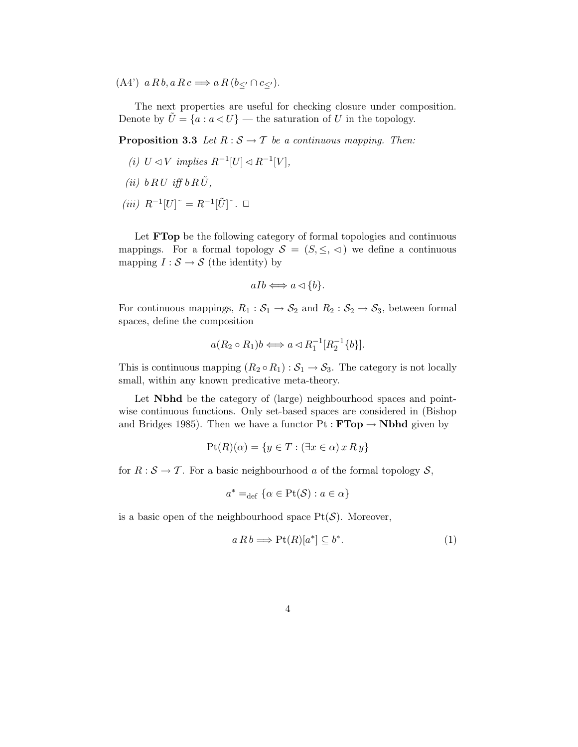(A4')  $a R b, a R c \Longrightarrow a R (b<sub>\leq</sub>' \cap c<sub>\leq</sub>').$ 

The next properties are useful for checking closure under composition. Denote by  $\bar{U} = \{a : a \triangleleft U\}$  — the saturation of U in the topology.

**Proposition 3.3** Let  $R : S \to T$  be a continuous mapping. Then:

- (i)  $U \triangleleft V$  implies  $R^{-1}[U] \triangleleft R^{-1}[V],$
- (ii)  $b \, R \, U \, i \text{ff} \, b \, R \, \tilde{U}$ ,
- $(iii)$   $R^{-1}[U]$ <sup>~</sup> =  $R^{-1}[\tilde{U}]$ <sup>~</sup>. □

Let **FTop** be the following category of formal topologies and continuous mappings. For a formal topology  $S = (S, \leq, \leq)$  we define a continuous mapping  $I : \mathcal{S} \to \mathcal{S}$  (the identity) by

$$
aIb \Longleftrightarrow a \triangleleft \{b\}.
$$

For continuous mappings,  $R_1 : S_1 \to S_2$  and  $R_2 : S_2 \to S_3$ , between formal spaces, define the composition

$$
a(R_2 \circ R_1)b \Longleftrightarrow a \triangleleft R_1^{-1}[R_2^{-1}{b}].
$$

This is continuous mapping  $(R_2 \circ R_1) : S_1 \to S_3$ . The category is not locally small, within any known predicative meta-theory.

Let **Nbhd** be the category of (large) neighbourhood spaces and pointwise continuous functions. Only set-based spaces are considered in (Bishop and Bridges 1985). Then we have a functor  $Pt : FTop \rightarrow Nbhd$  given by

$$
Pt(R)(\alpha) = \{ y \in T : (\exists x \in \alpha) \, x \, R \, y \}
$$

for  $R : \mathcal{S} \to \mathcal{T}$ . For a basic neighbourhood a of the formal topology  $\mathcal{S}$ ,

$$
a^* =_{\text{def}} \{ \alpha \in \text{Pt}(\mathcal{S}) : a \in \alpha \}
$$

is a basic open of the neighbourhood space  $Pt(S)$ . Moreover,

$$
a R b \Longrightarrow \text{Pt}(R)[a^*] \subseteq b^*.
$$
 (1)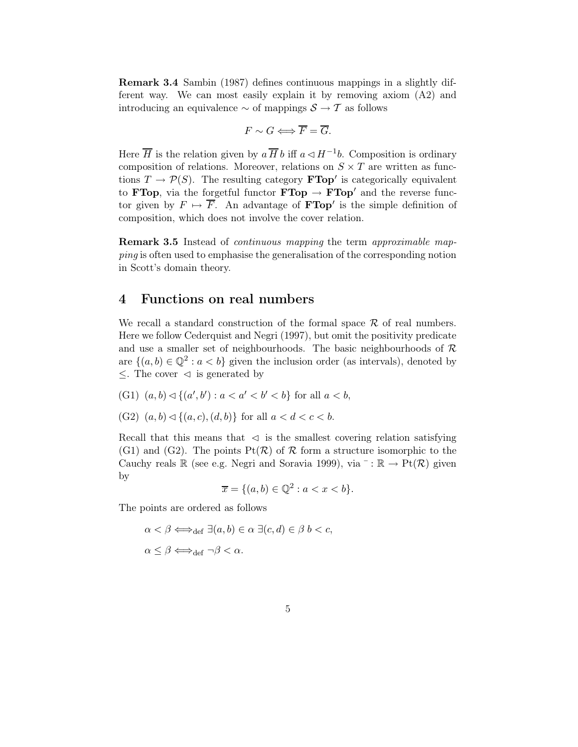Remark 3.4 Sambin (1987) defines continuous mappings in a slightly different way. We can most easily explain it by removing axiom (A2) and introducing an equivalence  $\sim$  of mappings  $\mathcal{S} \to \mathcal{T}$  as follows

$$
F \sim G \Longleftrightarrow \overline{F} = \overline{G}.
$$

Here  $\overline{H}$  is the relation given by  $a \overline{H} b$  iff  $a \triangleleft H^{-1}b$ . Composition is ordinary composition of relations. Moreover, relations on  $S \times T$  are written as functions  $T \to \mathcal{P}(S)$ . The resulting category **FTop'** is categorically equivalent to **FTop**, via the forgetful functor **FTop**  $\rightarrow$  **FTop**' and the reverse functor given by  $F \mapsto \overline{F}$ . An advantage of **FTop**' is the simple definition of composition, which does not involve the cover relation.

Remark 3.5 Instead of continuous mapping the term approximable mapping is often used to emphasise the generalisation of the corresponding notion in Scott's domain theory.

### 4 Functions on real numbers

We recall a standard construction of the formal space  $\mathcal R$  of real numbers. Here we follow Cederquist and Negri (1997), but omit the positivity predicate and use a smaller set of neighbourhoods. The basic neighbourhoods of  $R$ are  $\{(a, b) \in \mathbb{Q}^2 : a < b\}$  given the inclusion order (as intervals), denoted by  $\leq$ . The cover  $\leq$  is generated by

- (G1)  $(a, b) \lhd \{(a', b') : a < a' < b' < b\}$  for all  $a < b$ ,
- (G2)  $(a, b) \triangleleft \{ (a, c), (d, b) \}$  for all  $a < d < c < b$ .

Recall that this means that  $\prec$  is the smallest covering relation satisfying (G1) and (G2). The points  $Pt(R)$  of R form a structure isomorphic to the Cauchy reals R (see e.g. Negri and Soravia 1999), via  $^{-}$ : R  $\rightarrow$  Pt( $\mathcal{R}$ ) given by

$$
\overline{x} = \{(a, b) \in \mathbb{Q}^2 : a < x < b\}.
$$

The points are ordered as follows

$$
\alpha < \beta \Longleftrightarrow_{\text{def}} \exists (a, b) \in \alpha \exists (c, d) \in \beta \ b < c,
$$
\n
$$
\alpha \leq \beta \Longleftrightarrow_{\text{def}} \neg \beta < \alpha.
$$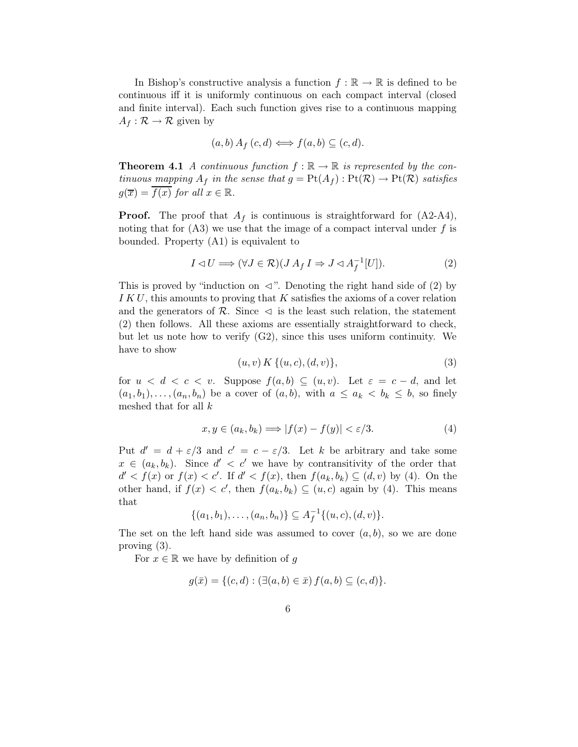In Bishop's constructive analysis a function  $f : \mathbb{R} \to \mathbb{R}$  is defined to be continuous iff it is uniformly continuous on each compact interval (closed and finite interval). Each such function gives rise to a continuous mapping  $A_f: \mathcal{R} \to \mathcal{R}$  given by

$$
(a,b) A_f (c,d) \Longleftrightarrow f(a,b) \subseteq (c,d).
$$

**Theorem 4.1** A continuous function  $f : \mathbb{R} \to \mathbb{R}$  is represented by the continuous mapping  $A_f$  in the sense that  $g = \text{Pt}(A_f) : \text{Pt}(\mathcal{R}) \to \text{Pt}(\mathcal{R})$  satisfies  $q(\overline{x}) = \overline{f(x)}$  for all  $x \in \mathbb{R}$ .

**Proof.** The proof that  $A_f$  is continuous is straightforward for  $(A2-A4)$ , noting that for  $(A3)$  we use that the image of a compact interval under f is bounded. Property (A1) is equivalent to

$$
I \lhd U \Longrightarrow (\forall J \in \mathcal{R})(J A_f I \Rightarrow J \lhd A_f^{-1}[U]). \tag{2}
$$

This is proved by "induction on  $\triangleleft$ ". Denoting the right hand side of (2) by I K U, this amounts to proving that K satisfies the axioms of a cover relation and the generators of  $\mathcal{R}$ . Since  $\triangleleft$  is the least such relation, the statement (2) then follows. All these axioms are essentially straightforward to check, but let us note how to verify (G2), since this uses uniform continuity. We have to show

$$
(u, v) K \{(u, c), (d, v)\},\tag{3}
$$

for  $u < d < c < v$ . Suppose  $f(a, b) \subseteq (u, v)$ . Let  $\varepsilon = c - d$ , and let  $(a_1, b_1), \ldots, (a_n, b_n)$  be a cover of  $(a, b)$ , with  $a \le a_k < b_k \le b$ , so finely meshed that for all k

$$
x, y \in (a_k, b_k) \Longrightarrow |f(x) - f(y)| < \varepsilon/3. \tag{4}
$$

Put  $d' = d + \varepsilon/3$  and  $c' = c - \varepsilon/3$ . Let k be arbitrary and take some  $x \in (a_k, b_k)$ . Since  $d' < c'$  we have by contransitivity of the order that  $d' < f(x)$  or  $f(x) < c'$ . If  $d' < f(x)$ , then  $f(a_k, b_k) \subseteq (d, v)$  by (4). On the other hand, if  $f(x) < c'$ , then  $f(a_k, b_k) \subseteq (u, c)$  again by (4). This means that

$$
\{(a_1,b_1),\ldots,(a_n,b_n)\}\subseteq A_f^{-1}\{(u,c),(d,v)\}.
$$

The set on the left hand side was assumed to cover  $(a, b)$ , so we are done proving (3).

For  $x \in \mathbb{R}$  we have by definition of q

$$
g(\bar{x}) = \{ (c, d) : (\exists (a, b) \in \bar{x}) f(a, b) \subseteq (c, d) \}.
$$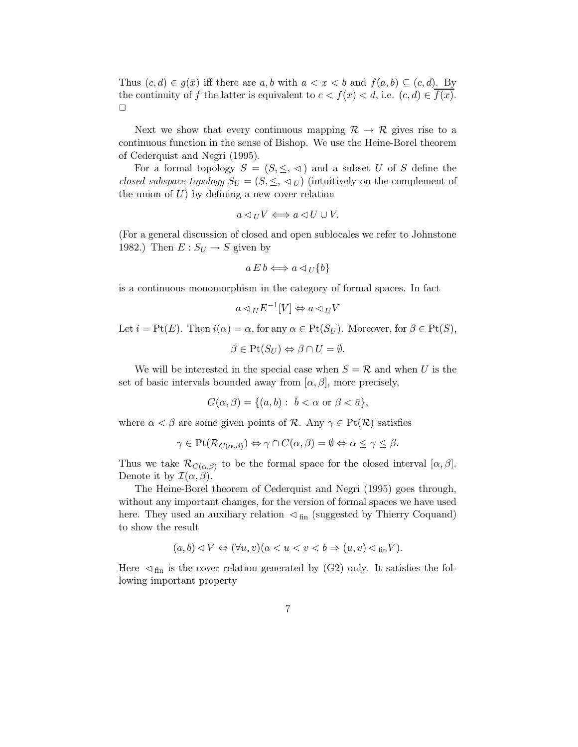Thus  $(c, d) \in g(\bar{x})$  iff there are a, b with  $a < x < b$  and  $f(a, b) \subseteq (c, d)$ . By the continuity of f the latter is equivalent to  $c < f(x) < d$ , i.e.  $(c, d) \in \overline{f(x)}$ .  $\Box$ 

Next we show that every continuous mapping  $\mathcal{R} \to \mathcal{R}$  gives rise to a continuous function in the sense of Bishop. We use the Heine-Borel theorem of Cederquist and Negri (1995).

For a formal topology  $S = (S, \leq, \leq)$  and a subset U of S define the closed subspace topology  $S_U = (S, \leq, \leq_U)$  (intuitively on the complement of the union of  $U$ ) by defining a new cover relation

$$
a \lhd_U V \Longleftrightarrow a \lhd U \cup V.
$$

(For a general discussion of closed and open sublocales we refer to Johnstone 1982.) Then  $E: S_U \to S$  given by

$$
a \, E \, b \Longleftrightarrow a \lhd_U \{b\}
$$

is a continuous monomorphism in the category of formal spaces. In fact

$$
a \lhd_U E^{-1}[V] \Leftrightarrow a \lhd_U V
$$

Let  $i = Pt(E)$ . Then  $i(\alpha) = \alpha$ , for any  $\alpha \in Pt(S_U)$ . Moreover, for  $\beta \in Pt(S)$ ,

$$
\beta \in \text{Pt}(S_U) \Leftrightarrow \beta \cap U = \emptyset.
$$

We will be interested in the special case when  $S = \mathcal{R}$  and when U is the set of basic intervals bounded away from  $[\alpha, \beta]$ , more precisely,

$$
C(\alpha,\beta)=\{(a,b):\ \bar b<\alpha\ \hbox{or}\ \beta<\bar a\},
$$

where  $\alpha < \beta$  are some given points of R. Any  $\gamma \in \text{Pt}(\mathcal{R})$  satisfies

$$
\gamma \in \text{Pt}(\mathcal{R}_{C(\alpha,\beta)}) \Leftrightarrow \gamma \cap C(\alpha,\beta) = \emptyset \Leftrightarrow \alpha \le \gamma \le \beta.
$$

Thus we take  $\mathcal{R}_{C(\alpha,\beta)}$  to be the formal space for the closed interval  $[\alpha,\beta]$ . Denote it by  $\mathcal{I}(\alpha,\beta)$ .

The Heine-Borel theorem of Cederquist and Negri (1995) goes through, without any important changes, for the version of formal spaces we have used here. They used an auxiliary relation  $\leq_{fin}$  (suggested by Thierry Coquand) to show the result

$$
(a,b) \triangleleft V \Leftrightarrow (\forall u,v)(a < u < v < b \Rightarrow (u,v) \triangleleft_{fin} V).
$$

Here  $\leq f_{fin}$  is the cover relation generated by (G2) only. It satisfies the following important property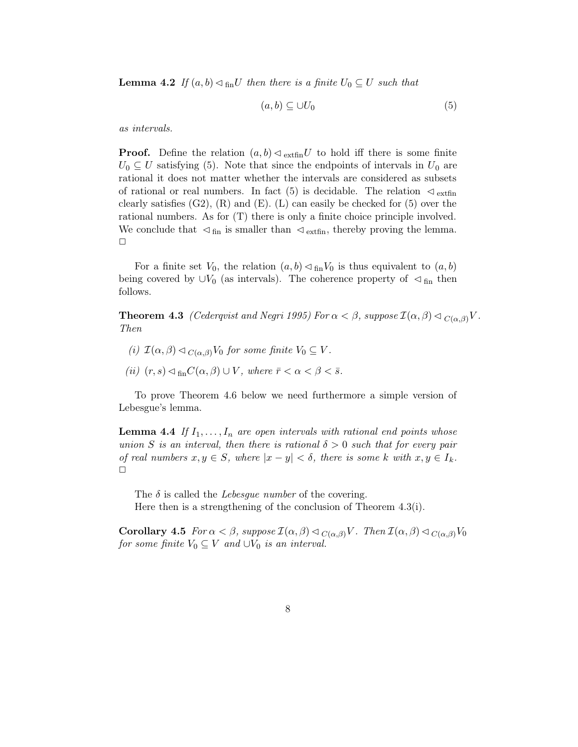**Lemma 4.2** If  $(a, b) \triangleleft_{fin}U$  then there is a finite  $U_0 \subseteq U$  such that

$$
(a,b) \subseteq \cup U_0 \tag{5}
$$

as intervals.

**Proof.** Define the relation  $(a, b) \triangleleft \text{extfin} U$  to hold iff there is some finite  $U_0 \subseteq U$  satisfying (5). Note that since the endpoints of intervals in  $U_0$  are rational it does not matter whether the intervals are considered as subsets of rational or real numbers. In fact (5) is decidable. The relation  $\mathcal{L}_{\text{extfin}}$ clearly satisfies  $(G2)$ ,  $(R)$  and  $(E)$ .  $(L)$  can easily be checked for  $(5)$  over the rational numbers. As for (T) there is only a finite choice principle involved. We conclude that  $\mathcal{A}_{fin}$  is smaller than  $\mathcal{A}_{extfin}$ , thereby proving the lemma.  $\Box$ 

For a finite set  $V_0$ , the relation  $(a, b) \triangleleft_{fin} V_0$  is thus equivalent to  $(a, b)$ being covered by  $\cup V_0$  (as intervals). The coherence property of  $\triangleleft$  fin then follows.

**Theorem 4.3** (Cederqvist and Negri 1995) For  $\alpha < \beta$ , suppose  $\mathcal{I}(\alpha, \beta) \triangleleft C(\alpha, \beta) V$ . Then

- (i)  $\mathcal{I}(\alpha,\beta) \triangleleft_{C(\alpha,\beta)} V_0$  for some finite  $V_0 \subseteq V$ .
- (ii)  $(r, s) \triangleleft_{\text{fin}} C(\alpha, \beta) \cup V$ , where  $\bar{r} < \alpha < \beta < \bar{s}$ .

To prove Theorem 4.6 below we need furthermore a simple version of Lebesgue's lemma.

**Lemma 4.4** If  $I_1, \ldots, I_n$  are open intervals with rational end points whose union S is an interval, then there is rational  $\delta > 0$  such that for every pair of real numbers  $x, y \in S$ , where  $|x - y| < \delta$ , there is some k with  $x, y \in I_k$ .  $\Box$ 

The  $\delta$  is called the *Lebesque number* of the covering. Here then is a strengthening of the conclusion of Theorem 4.3(i).

**Corollary 4.5** For  $\alpha < \beta$ , suppose  $\mathcal{I}(\alpha, \beta) \triangleleft_{C(\alpha, \beta)} V$ . Then  $\mathcal{I}(\alpha, \beta) \triangleleft_{C(\alpha, \beta)} V_0$ for some finite  $V_0 \subseteq V$  and  $\cup V_0$  is an interval.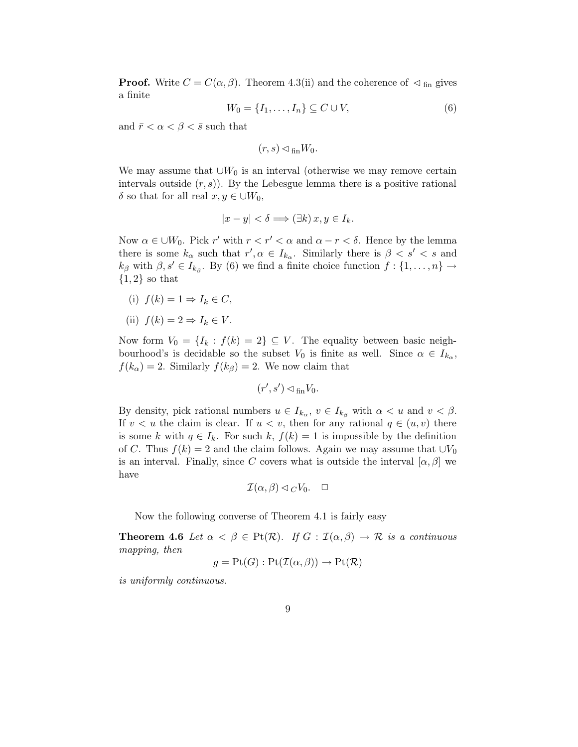**Proof.** Write  $C = C(\alpha, \beta)$ . Theorem 4.3(ii) and the coherence of  $\lhd$  <sub>fin</sub> gives a finite

$$
W_0 = \{I_1, \dots, I_n\} \subseteq C \cup V,\tag{6}
$$

and  $\bar{r} < \alpha < \beta < \bar{s}$  such that

$$
(r,s)\lhd_{\mathrm{fin}} W_0.
$$

We may assume that  $\cup W_0$  is an interval (otherwise we may remove certain intervals outside  $(r, s)$ . By the Lebesgue lemma there is a positive rational δ so that for all real  $x, y \in \bigcup W_0$ ,

$$
|x - y| < \delta \Longrightarrow (\exists k) \, x, y \in I_k.
$$

Now  $\alpha \in \bigcup W_0$ . Pick r' with  $r < r' < \alpha$  and  $\alpha - r < \delta$ . Hence by the lemma there is some  $k_{\alpha}$  such that  $r', \alpha \in I_{k_{\alpha}}$ . Similarly there is  $\beta < s' < s$  and  $k_{\beta}$  with  $\beta, s' \in I_{k_{\beta}}$ . By (6) we find a finite choice function  $f: \{1, \ldots, n\} \rightarrow$  ${1,2}$  so that

- (i)  $f(k) = 1 \Rightarrow I_k \in C$ ,
- (ii)  $f(k) = 2 \Rightarrow I_k \in V$ .

Now form  $V_0 = \{I_k : f(k) = 2\} \subseteq V$ . The equality between basic neighbourhood's is decidable so the subset  $V_0$  is finite as well. Since  $\alpha \in I_{k_\alpha}$ ,  $f(k_{\alpha}) = 2$ . Similarly  $f(k_{\beta}) = 2$ . We now claim that

$$
(r',s')\lhd_{\mathrm{fin}}V_0.
$$

By density, pick rational numbers  $u \in I_{k_{\alpha}}, v \in I_{k_{\beta}}$  with  $\alpha < u$  and  $v < \beta$ . If  $v < u$  the claim is clear. If  $u < v$ , then for any rational  $q \in (u, v)$  there is some k with  $q \in I_k$ . For such k,  $f(k) = 1$  is impossible by the definition of C. Thus  $f(k) = 2$  and the claim follows. Again we may assume that  $\cup V_0$ is an interval. Finally, since C covers what is outside the interval  $[\alpha, \beta]$  we have

$$
\mathcal{I}(\alpha,\beta) \lhd_C V_0. \quad \Box
$$

Now the following converse of Theorem 4.1 is fairly easy

**Theorem 4.6** Let  $\alpha < \beta \in \text{Pt}(\mathcal{R})$ . If  $G : \mathcal{I}(\alpha, \beta) \to \mathcal{R}$  is a continuous mapping, then

$$
g = \text{Pt}(G) : \text{Pt}(\mathcal{I}(\alpha, \beta)) \to \text{Pt}(\mathcal{R})
$$

is uniformly continuous.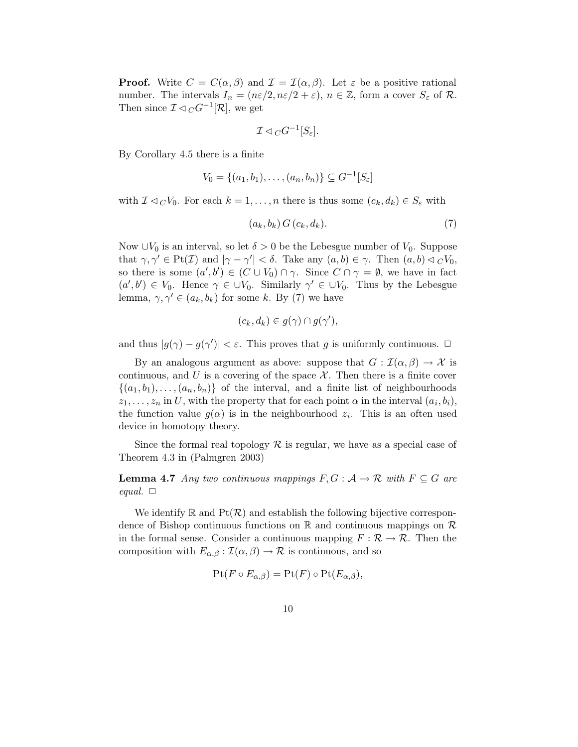**Proof.** Write  $C = C(\alpha, \beta)$  and  $\mathcal{I} = \mathcal{I}(\alpha, \beta)$ . Let  $\varepsilon$  be a positive rational number. The intervals  $I_n = (n\varepsilon/2, n\varepsilon/2 + \varepsilon), n \in \mathbb{Z}$ , form a cover  $S_\varepsilon$  of  $\mathcal{R}$ . Then since  $\mathcal{I} \lhd_C G^{-1}[\mathcal{R}]$ , we get

$$
\mathcal{I} \lhd_C G^{-1}[S_\varepsilon].
$$

By Corollary 4.5 there is a finite

$$
V_0 = \{(a_1, b_1), \dots, (a_n, b_n)\} \subseteq G^{-1}[S_{\varepsilon}]
$$

with  $\mathcal{I} \lhd_C V_0$ . For each  $k = 1, \ldots, n$  there is thus some  $(c_k, d_k) \in S_\varepsilon$  with

$$
(a_k, b_k) G(c_k, d_k). \tag{7}
$$

Now ∪ $V_0$  is an interval, so let  $\delta > 0$  be the Lebesgue number of  $V_0$ . Suppose that  $\gamma, \gamma' \in \text{Pt}(\mathcal{I})$  and  $|\gamma - \gamma'| < \delta$ . Take any  $(a, b) \in \gamma$ . Then  $(a, b) \lhd C V_0$ , so there is some  $(a',b') \in (C \cup V_0) \cap \gamma$ . Since  $C \cap \gamma = \emptyset$ , we have in fact  $(a', b') \in V_0$ . Hence  $\gamma \in \bigcup V_0$ . Similarly  $\gamma' \in \bigcup V_0$ . Thus by the Lebesgue lemma,  $\gamma, \gamma' \in (a_k, b_k)$  for some k. By (7) we have

$$
(c_k, d_k) \in g(\gamma) \cap g(\gamma'),
$$

and thus  $|g(\gamma) - g(\gamma')| < \varepsilon$ . This proves that g is uniformly continuous.  $\Box$ 

By an analogous argument as above: suppose that  $G : \mathcal{I}(\alpha, \beta) \to \mathcal{X}$  is continuous, and U is a covering of the space  $\mathcal{X}$ . Then there is a finite cover  $\{(a_1, b_1), \ldots, (a_n, b_n)\}\$  of the interval, and a finite list of neighbourhoods  $z_1, \ldots, z_n$  in U, with the property that for each point  $\alpha$  in the interval  $(a_i, b_i)$ , the function value  $g(\alpha)$  is in the neighbourhood  $z_i$ . This is an often used device in homotopy theory.

Since the formal real topology  $\mathcal R$  is regular, we have as a special case of Theorem 4.3 in (Palmgren 2003)

**Lemma 4.7** Any two continuous mappings  $F, G: \mathcal{A} \to \mathcal{R}$  with  $F \subseteq G$  are equal.  $\Box$ 

We identify  $\mathbb R$  and  $Pf(\mathcal{R})$  and establish the following bijective correspondence of Bishop continuous functions on  $\mathbb R$  and continuous mappings on  $\mathcal R$ in the formal sense. Consider a continuous mapping  $F : \mathcal{R} \to \mathcal{R}$ . Then the composition with  $E_{\alpha,\beta} : \mathcal{I}(\alpha,\beta) \to \mathcal{R}$  is continuous, and so

$$
\mathrm{Pt}(F \circ E_{\alpha,\beta}) = \mathrm{Pt}(F) \circ \mathrm{Pt}(E_{\alpha,\beta}),
$$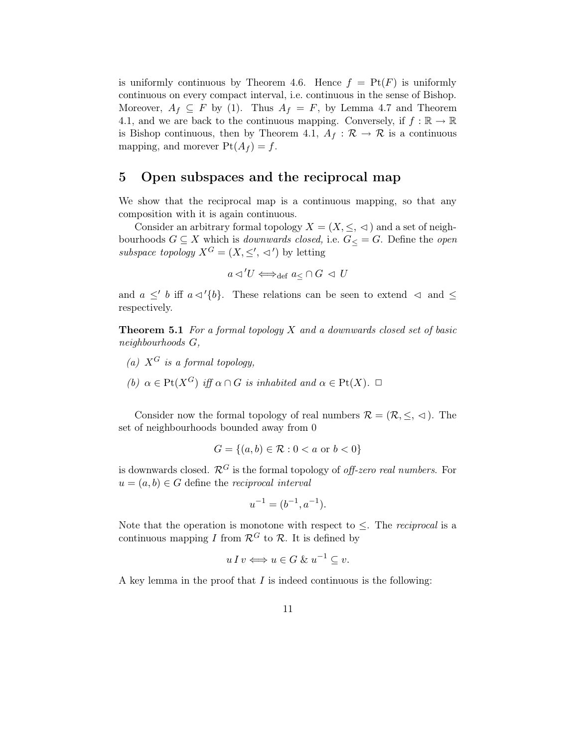is uniformly continuous by Theorem 4.6. Hence  $f = Pt(F)$  is uniformly continuous on every compact interval, i.e. continuous in the sense of Bishop. Moreover,  $A_f \subseteq F$  by (1). Thus  $A_f = F$ , by Lemma 4.7 and Theorem 4.1, and we are back to the continuous mapping. Conversely, if  $f : \mathbb{R} \to \mathbb{R}$ is Bishop continuous, then by Theorem 4.1,  $A_f : \mathcal{R} \to \mathcal{R}$  is a continuous mapping, and morever  $Pt(A_f) = f$ .

## 5 Open subspaces and the reciprocal map

We show that the reciprocal map is a continuous mapping, so that any composition with it is again continuous.

Consider an arbitrary formal topology  $X = (X, \leq, \leq)$  and a set of neighbourhoods  $G \subseteq X$  which is *downwards closed*, i.e.  $G \subseteq G$ . Define the *open* subspace topology  $X^G = (X, \leq', \preceq')$  by letting

$$
a \triangleleft' U \Longleftrightarrow_{\text{def}} a \leq \cap G \ \triangleleft \ U
$$

and  $a \leq' b$  iff  $a \triangleleft' \{b\}$ . These relations can be seen to extend  $\triangleleft$  and  $\leq$ respectively.

**Theorem 5.1** For a formal topology  $X$  and a downwards closed set of basic neighbourhoods G,

- (a)  $X^G$  is a formal topology,
- (b)  $\alpha \in \text{Pt}(X^G)$  iff  $\alpha \cap G$  is inhabited and  $\alpha \in \text{Pt}(X)$ .  $\Box$

Consider now the formal topology of real numbers  $\mathcal{R} = (\mathcal{R}, \leq, \leq)$ . The set of neighbourhoods bounded away from 0

$$
G = \{(a, b) \in \mathcal{R} : 0 < a \text{ or } b < 0\}
$$

is downwards closed.  $\mathcal{R}^G$  is the formal topology of *off-zero real numbers*. For  $u = (a, b) \in G$  define the reciprocal interval

$$
u^{-1} = (b^{-1}, a^{-1}).
$$

Note that the operation is monotone with respect to  $\leq$ . The *reciprocal* is a continuous mapping I from  $\mathcal{R}^G$  to  $\mathcal{R}$ . It is defined by

$$
u I v \Longleftrightarrow u \in G \& u^{-1} \subseteq v.
$$

A key lemma in the proof that  $I$  is indeed continuous is the following: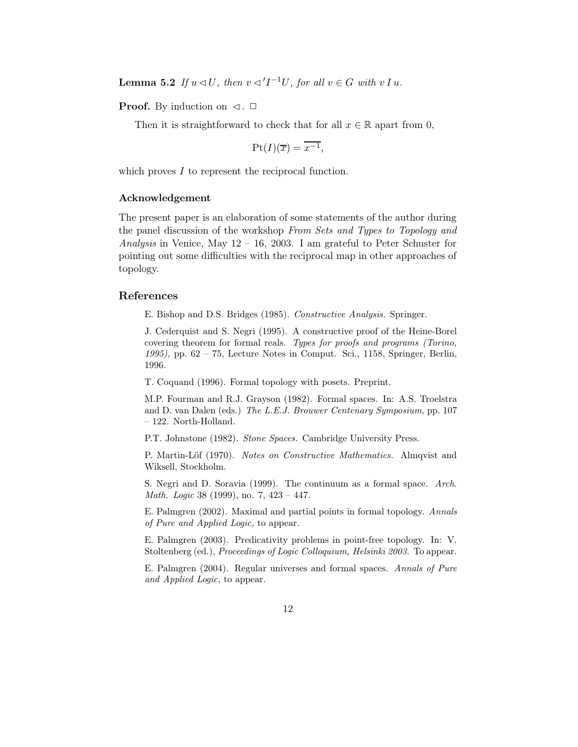**Lemma 5.2** If  $u \triangleleft U$ , then  $v \triangleleft 'I^{-1}U$ , for all  $v \in G$  with  $v I u$ .

**Proof.** By induction on  $\triangleleft$ .  $\Box$ 

Then it is straightforward to check that for all  $x \in \mathbb{R}$  apart from 0,

$$
\mathrm{Pt}(I)(\overline{x}) = \overline{x^{-1}}
$$

which proves I to represent the reciprocal function.

#### Acknowledgement

The present paper is an elaboration of some statements of the author during the panel discussion of the workshop From Sets and Types to Topology and Analysis in Venice, May  $12 - 16$ , 2003. I am grateful to Peter Schuster for pointing out some difficulties with the reciprocal map in other approaches of topology.

#### References

E. Bishop and D.S. Bridges (1985). Constructive Analysis. Springer.

J. Cederquist and S. Negri (1995). A constructive proof of the Heine-Borel covering theorem for formal reals. Types for proofs and programs (Torino, 1995), pp. 62 – 75, Lecture Notes in Comput. Sci., 1158, Springer, Berlin, 1996.

T. Coquand (1996). Formal topology with posets. Preprint.

M.P. Fourman and R.J. Grayson (1982). Formal spaces. In: A.S. Troelstra and D. van Dalen (eds.) The L.E.J. Brouwer Centenary Symposium, pp. 107 – 122. North-Holland.

P.T. Johnstone (1982). Stone Spaces. Cambridge University Press.

P. Martin-Löf (1970). Notes on Constructive Mathematics. Almqvist and Wiksell, Stockholm.

S. Negri and D. Soravia (1999). The continuum as a formal space. Arch. Math. Logic 38 (1999), no. 7, 423 – 447.

E. Palmgren (2002). Maximal and partial points in formal topology. Annals of Pure and Applied Logic, to appear.

E. Palmgren (2003). Predicativity problems in point-free topology. In: V. Stoltenberg (ed.), Proceedings of Logic Colloquium, Helsinki 2003. To appear.

E. Palmgren (2004). Regular universes and formal spaces. Annals of Pure and Applied Logic, to appear.